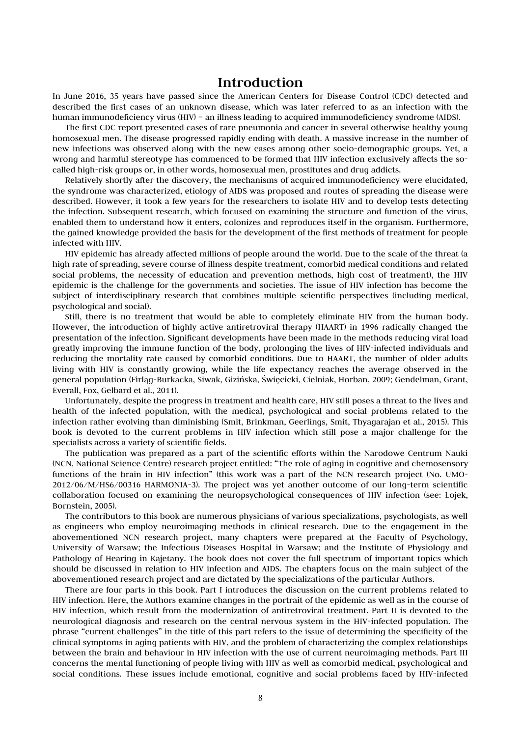## **Introduction**

In June 2016, 35 years have passed since the American Centers for Disease Control (CDC) detected and described the first cases of an unknown disease, which was later referred to as an infection with the human immunodeficiency virus (HIV) – an illness leading to acquired immunodeficiency syndrome (AIDS).

The first CDC report presented cases of rare pneumonia and cancer in several otherwise healthy young homosexual men. The disease progressed rapidly ending with death. A massive increase in the number of new infections was observed along with the new cases among other socio-demographic groups. Yet, a wrong and harmful stereotype has commenced to be formed that HIV infection exclusively affects the socalled high-risk groups or, in other words, homosexual men, prostitutes and drug addicts.

Relatively shortly after the discovery, the mechanisms of acquired immunodeficiency were elucidated, the syndrome was characterized, etiology of AIDS was proposed and routes of spreading the disease were described. However, it took a few years for the researchers to isolate HIV and to develop tests detecting the infection. Subsequent research, which focused on examining the structure and function of the virus, enabled them to understand how it enters, colonizes and reproduces itself in the organism. Furthermore, the gained knowledge provided the basis for the development of the first methods of treatment for people infected with HIV.

HIV epidemic has already affected millions of people around the world. Due to the scale of the threat (a high rate of spreading, severe course of illness despite treatment, comorbid medical conditions and related social problems, the necessity of education and prevention methods, high cost of treatment), the HIV epidemic is the challenge for the governments and societies. The issue of HIV infection has become the subject of interdisciplinary research that combines multiple scientific perspectives (including medical, psychological and social).

Still, there is no treatment that would be able to completely eliminate HIV from the human body. However, the introduction of highly active antiretroviral therapy (HAART) in 1996 radically changed the presentation of the infection. Significant developments have been made in the methods reducing viral load greatly improving the immune function of the body, prolonging the lives of HIV-infected individuals and reducing the mortality rate caused by comorbid conditions. Due to HAART, the number of older adults living with HIV is constantly growing, while the life expectancy reaches the average observed in the general population (Firląg-Burkacka, Siwak, Gizińska, Święcicki, Cielniak, Horban, 2009; Gendelman, Grant, Everall, Fox, Gelbard et al., 2011).

Unfortunately, despite the progress in treatment and health care, HIV still poses a threat to the lives and health of the infected population, with the medical, psychological and social problems related to the infection rather evolving than diminishing (Smit, Brinkman, Geerlings, Smit, Thyagarajan et al., 2015). This book is devoted to the current problems in HIV infection which still pose a major challenge for the specialists across a variety of scientific fields.

The publication was prepared as a part of the scientific efforts within the Narodowe Centrum Nauki (NCN, National Science Centre) research project entitled: "The role of aging in cognitive and chemosensory functions of the brain in HIV infection" (this work was a part of the NCN research project (No. UMO-2012/06/M/HS6/00316 HARMONIA-3). The project was yet another outcome of our long-term scientific collaboration focused on examining the neuropsychological consequences of HIV infection (see: Łojek, Bornstein, 2005).

The contributors to this book are numerous physicians of various specializations, psychologists, as well as engineers who employ neuroimaging methods in clinical research. Due to the engagement in the abovementioned NCN research project, many chapters were prepared at the Faculty of Psychology, University of Warsaw; the Infectious Diseases Hospital in Warsaw; and the Institute of Physiology and Pathology of Hearing in Kajetany. The book does not cover the full spectrum of important topics which should be discussed in relation to HIV infection and AIDS. The chapters focus on the main subject of the abovementioned research project and are dictated by the specializations of the particular Authors.

There are four parts in this book. Part I introduces the discussion on the current problems related to HIV infection. Here, the Authors examine changes in the portrait of the epidemic as well as in the course of HIV infection, which result from the modernization of antiretroviral treatment. Part II is devoted to the neurological diagnosis and research on the central nervous system in the HIV-infected population. The phrase "current challenges" in the title of this part refers to the issue of determining the specificity of the clinical symptoms in aging patients with HIV, and the problem of characterizing the complex relationships between the brain and behaviour in HIV infection with the use of current neuroimaging methods. Part III concerns the mental functioning of people living with HIV as well as comorbid medical, psychological and social conditions. These issues include emotional, cognitive and social problems faced by HIV-infected